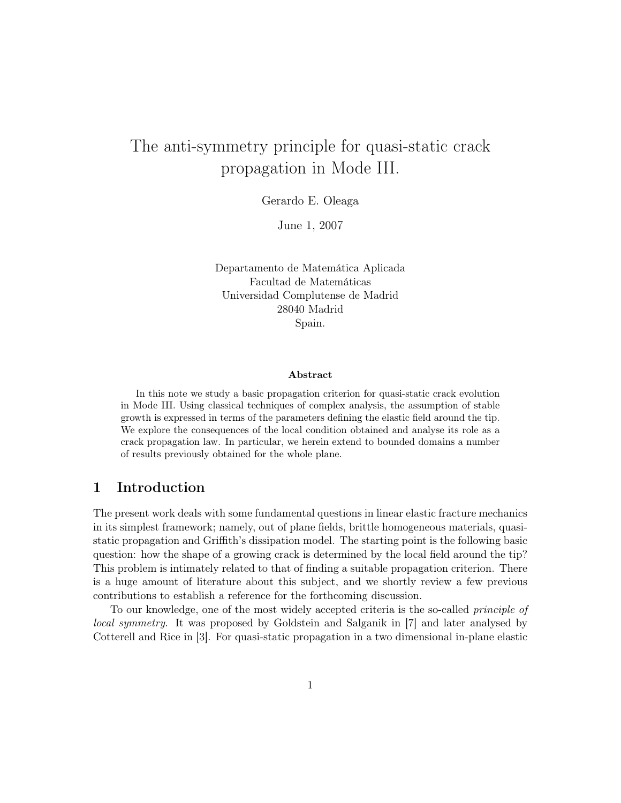# The anti-symmetry principle for quasi-static crack propagation in Mode III.

Gerardo E. Oleaga

June 1, 2007

Departamento de Matemática Aplicada Facultad de Matemáticas Universidad Complutense de Madrid 28040 Madrid Spain.

#### Abstract

In this note we study a basic propagation criterion for quasi-static crack evolution in Mode III. Using classical techniques of complex analysis, the assumption of stable growth is expressed in terms of the parameters defining the elastic field around the tip. We explore the consequences of the local condition obtained and analyse its role as a crack propagation law. In particular, we herein extend to bounded domains a number of results previously obtained for the whole plane.

# 1 Introduction

The present work deals with some fundamental questions in linear elastic fracture mechanics in its simplest framework; namely, out of plane fields, brittle homogeneous materials, quasistatic propagation and Griffith's dissipation model. The starting point is the following basic question: how the shape of a growing crack is determined by the local field around the tip? This problem is intimately related to that of finding a suitable propagation criterion. There is a huge amount of literature about this subject, and we shortly review a few previous contributions to establish a reference for the forthcoming discussion.

To our knowledge, one of the most widely accepted criteria is the so-called principle of local symmetry. It was proposed by Goldstein and Salganik in [7] and later analysed by Cotterell and Rice in [3]. For quasi-static propagation in a two dimensional in-plane elastic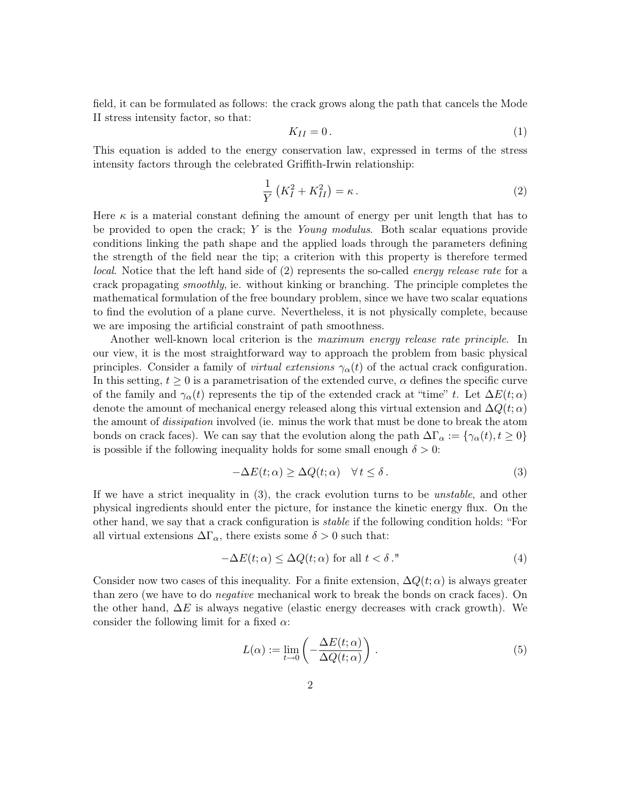field, it can be formulated as follows: the crack grows along the path that cancels the Mode II stress intensity factor, so that:

$$
K_{II} = 0. \t\t(1)
$$

This equation is added to the energy conservation law, expressed in terms of the stress intensity factors through the celebrated Griffith-Irwin relationship:

$$
\frac{1}{Y}\left(K_I^2 + K_{II}^2\right) = \kappa\,. \tag{2}
$$

Here  $\kappa$  is a material constant defining the amount of energy per unit length that has to be provided to open the crack;  $Y$  is the *Young modulus*. Both scalar equations provide conditions linking the path shape and the applied loads through the parameters defining the strength of the field near the tip; a criterion with this property is therefore termed local. Notice that the left hand side of (2) represents the so-called *energy release rate* for a crack propagating smoothly, ie. without kinking or branching. The principle completes the mathematical formulation of the free boundary problem, since we have two scalar equations to find the evolution of a plane curve. Nevertheless, it is not physically complete, because we are imposing the artificial constraint of path smoothness.

Another well-known local criterion is the maximum energy release rate principle. In our view, it is the most straightforward way to approach the problem from basic physical principles. Consider a family of *virtual extensions*  $\gamma_{\alpha}(t)$  of the actual crack configuration. In this setting,  $t \geq 0$  is a parametrisation of the extended curve,  $\alpha$  defines the specific curve of the family and  $\gamma_{\alpha}(t)$  represents the tip of the extended crack at "time" t. Let  $\Delta E(t; \alpha)$ denote the amount of mechanical energy released along this virtual extension and  $\Delta Q(t;\alpha)$ the amount of dissipation involved (ie. minus the work that must be done to break the atom bonds on crack faces). We can say that the evolution along the path  $\Delta\Gamma_\alpha := {\gamma_\alpha(t), t \geq 0}$ is possible if the following inequality holds for some small enough  $\delta > 0$ :

$$
-\Delta E(t; \alpha) \ge \Delta Q(t; \alpha) \quad \forall \, t \le \delta \,. \tag{3}
$$

If we have a strict inequality in (3), the crack evolution turns to be unstable, and other physical ingredients should enter the picture, for instance the kinetic energy flux. On the other hand, we say that a crack configuration is stable if the following condition holds: "For all virtual extensions  $\Delta\Gamma_{\alpha}$ , there exists some  $\delta > 0$  such that:

$$
-\Delta E(t; \alpha) \le \Delta Q(t; \alpha) \text{ for all } t < \delta.
$$
 (4)

Consider now two cases of this inequality. For a finite extension,  $\Delta Q(t; \alpha)$  is always greater than zero (we have to do negative mechanical work to break the bonds on crack faces). On the other hand,  $\Delta E$  is always negative (elastic energy decreases with crack growth). We consider the following limit for a fixed  $\alpha$ :

$$
L(\alpha) := \lim_{t \to 0} \left( -\frac{\Delta E(t; \alpha)}{\Delta Q(t; \alpha)} \right). \tag{5}
$$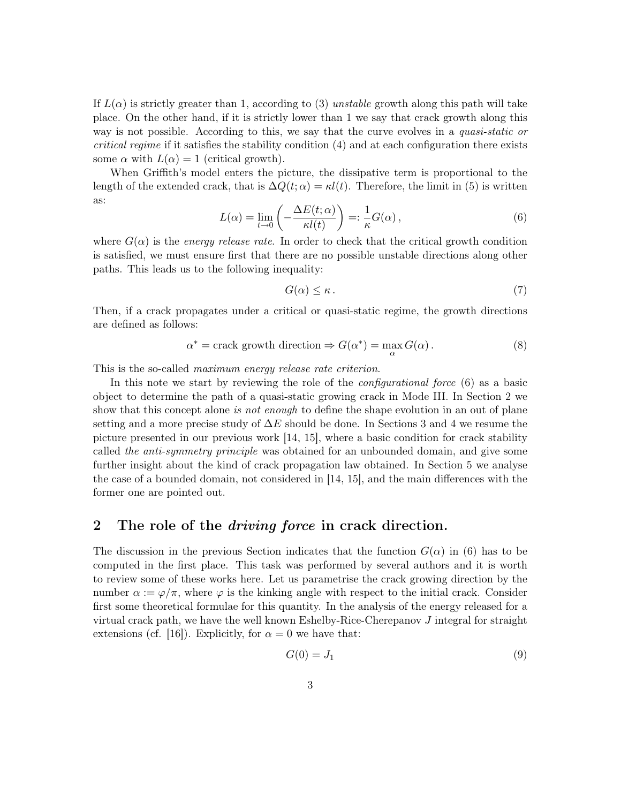If  $L(\alpha)$  is strictly greater than 1, according to (3) unstable growth along this path will take place. On the other hand, if it is strictly lower than 1 we say that crack growth along this way is not possible. According to this, we say that the curve evolves in a quasi-static or critical regime if it satisfies the stability condition (4) and at each configuration there exists some  $\alpha$  with  $L(\alpha) = 1$  (critical growth).

When Griffith's model enters the picture, the dissipative term is proportional to the length of the extended crack, that is  $\Delta Q(t;\alpha) = \kappa l(t)$ . Therefore, the limit in (5) is written as:

$$
L(\alpha) = \lim_{t \to 0} \left( -\frac{\Delta E(t; \alpha)}{\kappa l(t)} \right) =: \frac{1}{\kappa} G(\alpha) ,
$$
 (6)

where  $G(\alpha)$  is the *energy release rate*. In order to check that the critical growth condition is satisfied, we must ensure first that there are no possible unstable directions along other paths. This leads us to the following inequality:

$$
G(\alpha) \le \kappa \,. \tag{7}
$$

Then, if a crack propagates under a critical or quasi-static regime, the growth directions are defined as follows:

$$
\alpha^* = \text{crack growth direction} \Rightarrow G(\alpha^*) = \max_{\alpha} G(\alpha). \tag{8}
$$

This is the so-called *maximum energy release rate criterion*.

In this note we start by reviewing the role of the *configurational force* (6) as a basic object to determine the path of a quasi-static growing crack in Mode III. In Section 2 we show that this concept alone is not enough to define the shape evolution in an out of plane setting and a more precise study of  $\Delta E$  should be done. In Sections 3 and 4 we resume the picture presented in our previous work [14, 15], where a basic condition for crack stability called the anti-symmetry principle was obtained for an unbounded domain, and give some further insight about the kind of crack propagation law obtained. In Section 5 we analyse the case of a bounded domain, not considered in [14, 15], and the main differences with the former one are pointed out.

### 2 The role of the *driving force* in crack direction.

The discussion in the previous Section indicates that the function  $G(\alpha)$  in (6) has to be computed in the first place. This task was performed by several authors and it is worth to review some of these works here. Let us parametrise the crack growing direction by the number  $\alpha := \varphi/\pi$ , where  $\varphi$  is the kinking angle with respect to the initial crack. Consider first some theoretical formulae for this quantity. In the analysis of the energy released for a virtual crack path, we have the well known Eshelby-Rice-Cherepanov J integral for straight extensions (cf. [16]). Explicitly, for  $\alpha = 0$  we have that:

$$
G(0) = J_1 \tag{9}
$$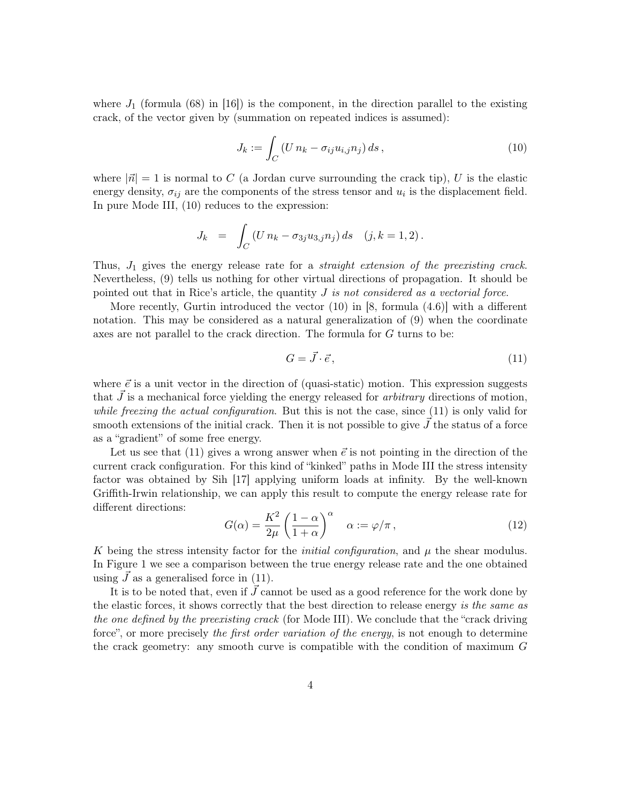where  $J_1$  (formula (68) in [16]) is the component, in the direction parallel to the existing crack, of the vector given by (summation on repeated indices is assumed):

$$
J_k := \int_C \left( U n_k - \sigma_{ij} u_{i,j} n_j \right) ds \,, \tag{10}
$$

where  $|\vec{n}| = 1$  is normal to C (a Jordan curve surrounding the crack tip), U is the elastic energy density,  $\sigma_{ij}$  are the components of the stress tensor and  $u_i$  is the displacement field. In pure Mode III, (10) reduces to the expression:

$$
J_k = \int_C (U n_k - \sigma_{3j} u_{3,j} n_j) ds \quad (j, k = 1, 2).
$$

Thus,  $J_1$  gives the energy release rate for a *straight extension of the preexisting crack*. Nevertheless, (9) tells us nothing for other virtual directions of propagation. It should be pointed out that in Rice's article, the quantity  $J$  is not considered as a vectorial force.

More recently, Gurtin introduced the vector  $(10)$  in [8, formula  $(4.6)$ ] with a different notation. This may be considered as a natural generalization of (9) when the coordinate axes are not parallel to the crack direction. The formula for G turns to be:

$$
G = \vec{J} \cdot \vec{e},\tag{11}
$$

where  $\vec{e}$  is a unit vector in the direction of (quasi-static) motion. This expression suggests that  $J$  is a mechanical force yielding the energy released for *arbitrary* directions of motion, while freezing the actual configuration. But this is not the case, since  $(11)$  is only valid for smooth extensions of the initial crack. Then it is not possible to give  $\vec{J}$  the status of a force as a "gradient" of some free energy.

Let us see that (11) gives a wrong answer when  $\vec{e}$  is not pointing in the direction of the current crack configuration. For this kind of "kinked" paths in Mode III the stress intensity factor was obtained by Sih [17] applying uniform loads at infinity. By the well-known Griffith-Irwin relationship, we can apply this result to compute the energy release rate for different directions:

$$
G(\alpha) = \frac{K^2}{2\mu} \left(\frac{1-\alpha}{1+\alpha}\right)^{\alpha} \quad \alpha := \varphi/\pi , \tag{12}
$$

K being the stress intensity factor for the *initial configuration*, and  $\mu$  the shear modulus. In Figure 1 we see a comparison between the true energy release rate and the one obtained using  $\tilde{J}$  as a generalised force in (11).

It is to be noted that, even if  $\vec{J}$  cannot be used as a good reference for the work done by the elastic forces, it shows correctly that the best direction to release energy is the same as the one defined by the preexisting crack (for Mode III). We conclude that the "crack driving force", or more precisely the first order variation of the energy, is not enough to determine the crack geometry: any smooth curve is compatible with the condition of maximum G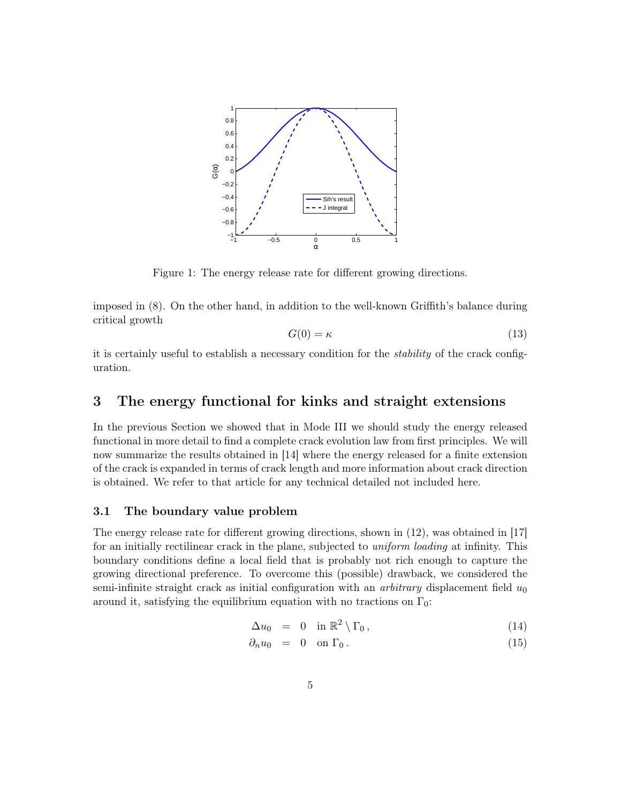

Figure 1: The energy release rate for different growing directions.

imposed in (8). On the other hand, in addition to the well-known Griffith's balance during critical growth

$$
G(0) = \kappa \tag{13}
$$

it is certainly useful to establish a necessary condition for the stability of the crack configuration.

# 3 The energy functional for kinks and straight extensions

In the previous Section we showed that in Mode III we should study the energy released functional in more detail to find a complete crack evolution law from first principles. We will now summarize the results obtained in [14] where the energy released for a finite extension of the crack is expanded in terms of crack length and more information about crack direction is obtained. We refer to that article for any technical detailed not included here.

### 3.1 The boundary value problem

The energy release rate for different growing directions, shown in (12), was obtained in [17] for an initially rectilinear crack in the plane, subjected to *uniform loading* at infinity. This boundary conditions define a local field that is probably not rich enough to capture the growing directional preference. To overcome this (possible) drawback, we considered the semi-infinite straight crack as initial configuration with an *arbitrary* displacement field  $u_0$ around it, satisfying the equilibrium equation with no tractions on  $\Gamma_0$ :

$$
\Delta u_0 = 0 \quad \text{in } \mathbb{R}^2 \setminus \Gamma_0, \tag{14}
$$

$$
\partial_n u_0 = 0 \quad \text{on } \Gamma_0 \,. \tag{15}
$$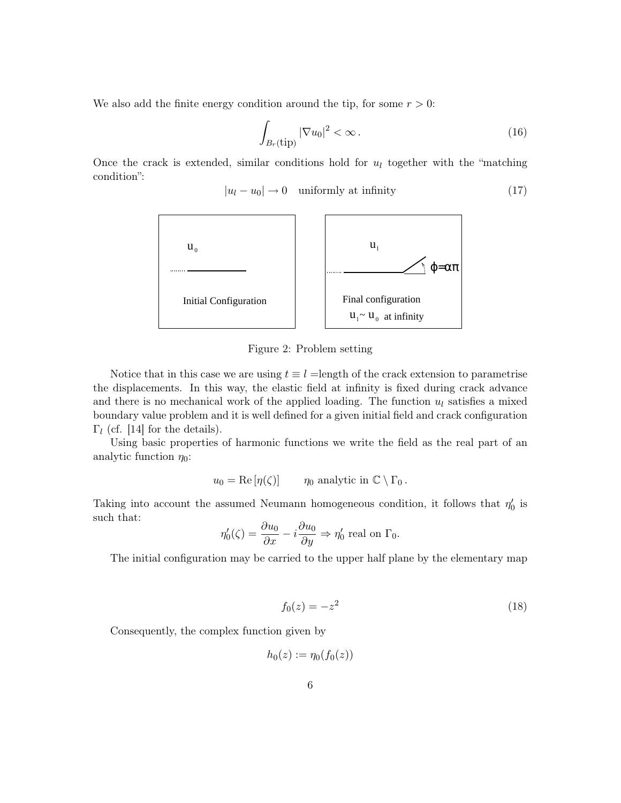We also add the finite energy condition around the tip, for some  $r > 0$ :

$$
\int_{B_r(\text{tip})} |\nabla u_0|^2 < \infty \,. \tag{16}
$$

Once the crack is extended, similar conditions hold for  $u_l$  together with the "matching" condition":

 $|u_l - u_0| \to 0$  uniformly at infinity (17)



Figure 2: Problem setting

Notice that in this case we are using  $t \equiv l =$ length of the crack extension to parametrise the displacements. In this way, the elastic field at infinity is fixed during crack advance and there is no mechanical work of the applied loading. The function  $u_l$  satisfies a mixed boundary value problem and it is well defined for a given initial field and crack configuration  $\Gamma_l$  (cf. [14] for the details).

Using basic properties of harmonic functions we write the field as the real part of an analytic function  $\eta_0$ :

$$
u_0 = \text{Re}[\eta(\zeta)] \qquad \eta_0 \text{ analytic in } \mathbb{C} \setminus \Gamma_0.
$$

Taking into account the assumed Neumann homogeneous condition, it follows that  $\eta'_0$  is such that:

$$
\eta_0'(\zeta) = \frac{\partial u_0}{\partial x} - i \frac{\partial u_0}{\partial y} \Rightarrow \eta_0' \text{ real on } \Gamma_0.
$$

The initial configuration may be carried to the upper half plane by the elementary map

$$
f_0(z) = -z^2 \tag{18}
$$

Consequently, the complex function given by

$$
h_0(z):=\eta_0(f_0(z))
$$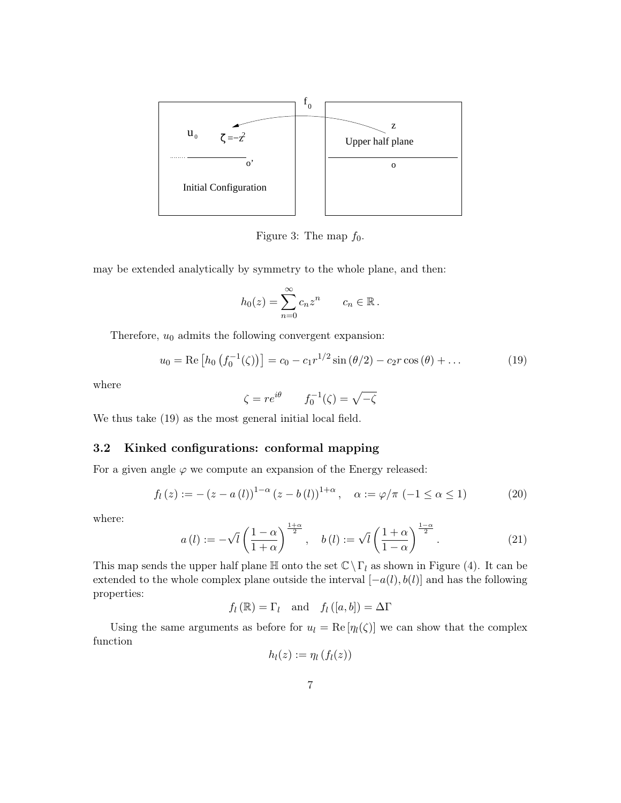

Figure 3: The map  $f_0$ .

may be extended analytically by symmetry to the whole plane, and then:

$$
h_0(z) = \sum_{n=0}^{\infty} c_n z^n \qquad c_n \in \mathbb{R}.
$$

Therefore,  $u_0$  admits the following convergent expansion:

$$
u_0 = \text{Re}\left[h_0\left(f_0^{-1}(\zeta)\right)\right] = c_0 - c_1 r^{1/2} \sin\left(\frac{\theta}{2}\right) - c_2 r \cos\left(\frac{\theta}{2}\right) + \dots \tag{19}
$$

where

$$
\zeta = re^{i\theta} \qquad f_0^{-1}(\zeta) = \sqrt{-\zeta}
$$

We thus take (19) as the most general initial local field.

### 3.2 Kinked configurations: conformal mapping

For a given angle  $\varphi$  we compute an expansion of the Energy released:

$$
f_l(z) := -(z - a(l))^{1-\alpha} (z - b(l))^{1+\alpha}, \quad \alpha := \varphi/\pi \ (-1 \le \alpha \le 1)
$$
 (20)

where:

$$
a(l) := -\sqrt{l} \left( \frac{1-\alpha}{1+\alpha} \right)^{\frac{1+\alpha}{2}}, \quad b(l) := \sqrt{l} \left( \frac{1+\alpha}{1-\alpha} \right)^{\frac{1-\alpha}{2}}.
$$
 (21)

This map sends the upper half plane  $\mathbb H$  onto the set  $\mathbb C\setminus\Gamma_l$  as shown in Figure (4). It can be extended to the whole complex plane outside the interval  $[-a(l), b(l)]$  and has the following properties:

 $f_l (\mathbb{R}) = \Gamma_l$  and  $f_l ([a, b]) = \Delta \Gamma$ 

Using the same arguments as before for  $u_l = \text{Re}[\eta_l(\zeta)]$  we can show that the complex function

$$
h_l(z) := \eta_l(f_l(z))
$$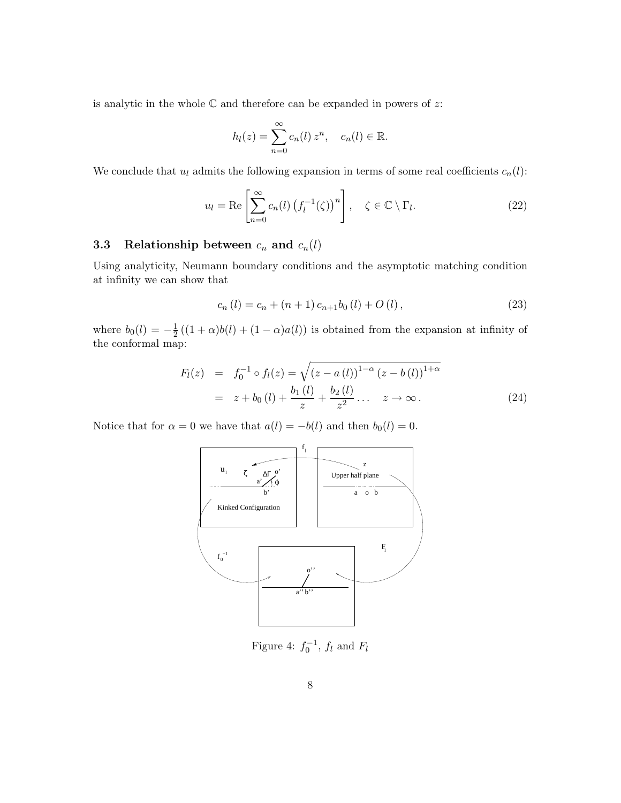is analytic in the whole  $\mathbb C$  and therefore can be expanded in powers of  $z$ :

$$
h_l(z) = \sum_{n=0}^{\infty} c_n(l) z^n, \quad c_n(l) \in \mathbb{R}.
$$

We conclude that  $u_l$  admits the following expansion in terms of some real coefficients  $c_n(l)$ :

$$
u_l = \text{Re}\left[\sum_{n=0}^{\infty} c_n(l) \left(f_l^{-1}(\zeta)\right)^n\right], \quad \zeta \in \mathbb{C} \setminus \Gamma_l. \tag{22}
$$

## 3.3 Relationship between  $c_n$  and  $c_n(l)$

Using analyticity, Neumann boundary conditions and the asymptotic matching condition at infinity we can show that

$$
c_n(l) = c_n + (n+1)c_{n+1}b_0(l) + O(l),
$$
\n(23)

where  $b_0(l) = -\frac{1}{2}$  $\frac{1}{2}((1+\alpha)b(l) + (1-\alpha)a(l))$  is obtained from the expansion at infinity of the conformal map:

$$
F_l(z) = f_0^{-1} \circ f_l(z) = \sqrt{(z - a(l))^{1-\alpha} (z - b(l))^{1+\alpha}}
$$
  
=  $z + b_0(l) + \frac{b_1(l)}{z} + \frac{b_2(l)}{z^2} + \dots$   $z \to \infty.$  (24)

Notice that for  $\alpha = 0$  we have that  $a(l) = -b(l)$  and then  $b_0(l) = 0$ .



Figure 4:  $f_0^{-1}$ ,  $f_l$  and  $F_l$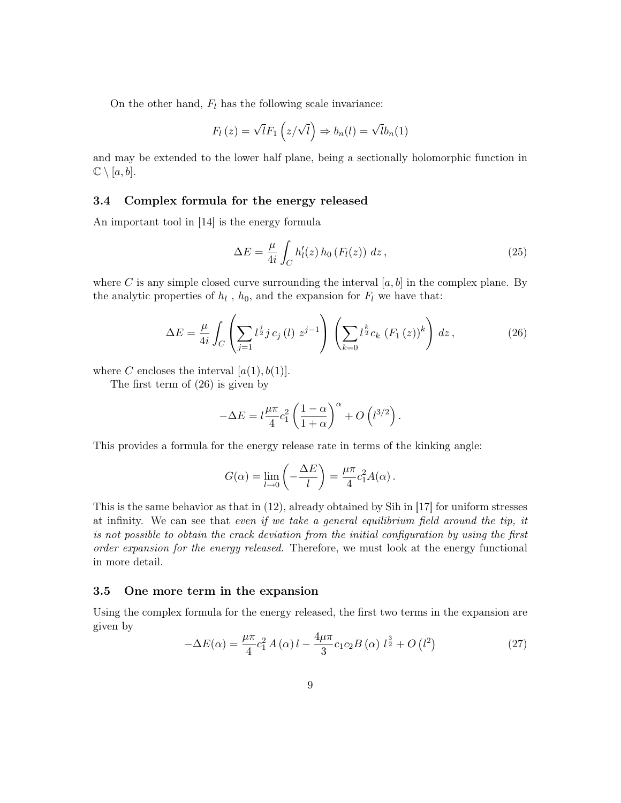On the other hand,  $F_l$  has the following scale invariance:

$$
F_l(z) = \sqrt{l} F_1(z/\sqrt{l}) \Rightarrow b_n(l) = \sqrt{l} b_n(1)
$$

and may be extended to the lower half plane, being a sectionally holomorphic function in  $\mathbb{C} \setminus [a, b].$ 

### 3.4 Complex formula for the energy released

An important tool in [14] is the energy formula

$$
\Delta E = \frac{\mu}{4i} \int_C h'_l(z) h_0(F_l(z)) dz, \qquad (25)
$$

where C is any simple closed curve surrounding the interval  $[a, b]$  in the complex plane. By the analytic properties of  $h_l$ ,  $h_0$ , and the expansion for  $F_l$  we have that:

$$
\Delta E = \frac{\mu}{4i} \int_C \left( \sum_{j=1} l^{\frac{j}{2}} j \, c_j \left( l \right) \, z^{j-1} \right) \left( \sum_{k=0} l^{\frac{k}{2}} c_k \left( F_1 \left( z \right) \right)^k \right) \, dz \,, \tag{26}
$$

where C encloses the interval  $[a(1), b(1)]$ .

The first term of (26) is given by

$$
-\Delta E = l \frac{\mu \pi}{4} c_1^2 \left( \frac{1-\alpha}{1+\alpha} \right)^{\alpha} + O\left(l^{3/2}\right).
$$

This provides a formula for the energy release rate in terms of the kinking angle:

$$
G(\alpha) = \lim_{l \to 0} \left( -\frac{\Delta E}{l} \right) = \frac{\mu \pi}{4} c_1^2 A(\alpha) .
$$

This is the same behavior as that in (12), already obtained by Sih in [17] for uniform stresses at infinity. We can see that even if we take a general equilibrium field around the tip, it is not possible to obtain the crack deviation from the initial configuration by using the first order expansion for the energy released. Therefore, we must look at the energy functional in more detail.

### 3.5 One more term in the expansion

Using the complex formula for the energy released, the first two terms in the expansion are given by

$$
-\Delta E(\alpha) = \frac{\mu \pi}{4} c_1^2 A(\alpha) l - \frac{4\mu \pi}{3} c_1 c_2 B(\alpha) l^{\frac{3}{2}} + O(l^2)
$$
 (27)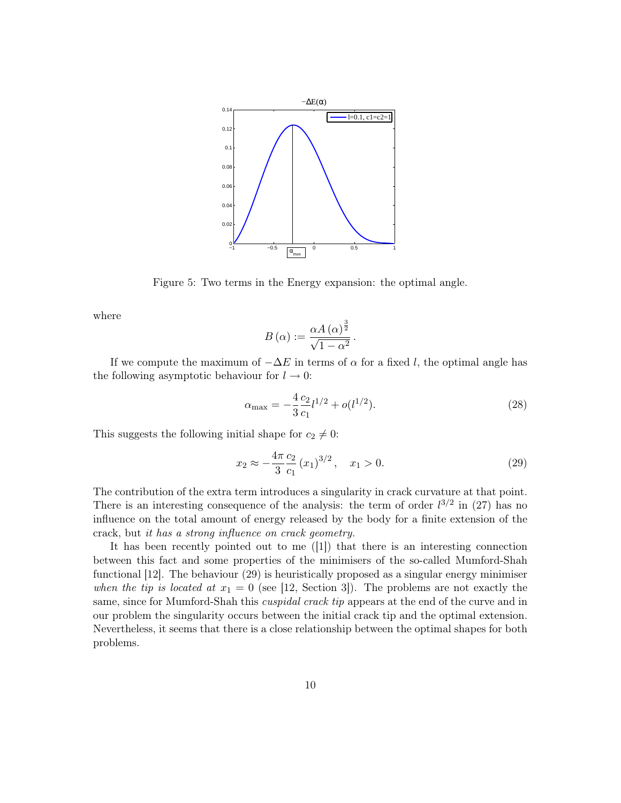

Figure 5: Two terms in the Energy expansion: the optimal angle.

where

$$
B(\alpha) := \frac{\alpha A(\alpha)^{\frac{3}{2}}}{\sqrt{1-\alpha^2}}.
$$

If we compute the maximum of  $-\Delta E$  in terms of  $\alpha$  for a fixed l, the optimal angle has the following asymptotic behaviour for  $l \to 0$ :

$$
\alpha_{\text{max}} = -\frac{4}{3} \frac{c_2}{c_1} l^{1/2} + o(l^{1/2}). \tag{28}
$$

This suggests the following initial shape for  $c_2 \neq 0$ :

$$
x_2 \approx -\frac{4\pi}{3} \frac{c_2}{c_1} (x_1)^{3/2}, \quad x_1 > 0.
$$
 (29)

The contribution of the extra term introduces a singularity in crack curvature at that point. There is an interesting consequence of the analysis: the term of order  $l^{3/2}$  in (27) has no influence on the total amount of energy released by the body for a finite extension of the crack, but it has a strong influence on crack geometry.

It has been recently pointed out to me ([1]) that there is an interesting connection between this fact and some properties of the minimisers of the so-called Mumford-Shah functional [12]. The behaviour (29) is heuristically proposed as a singular energy minimiser when the tip is located at  $x_1 = 0$  (see [12, Section 3]). The problems are not exactly the same, since for Mumford-Shah this *cuspidal crack tip* appears at the end of the curve and in our problem the singularity occurs between the initial crack tip and the optimal extension. Nevertheless, it seems that there is a close relationship between the optimal shapes for both problems.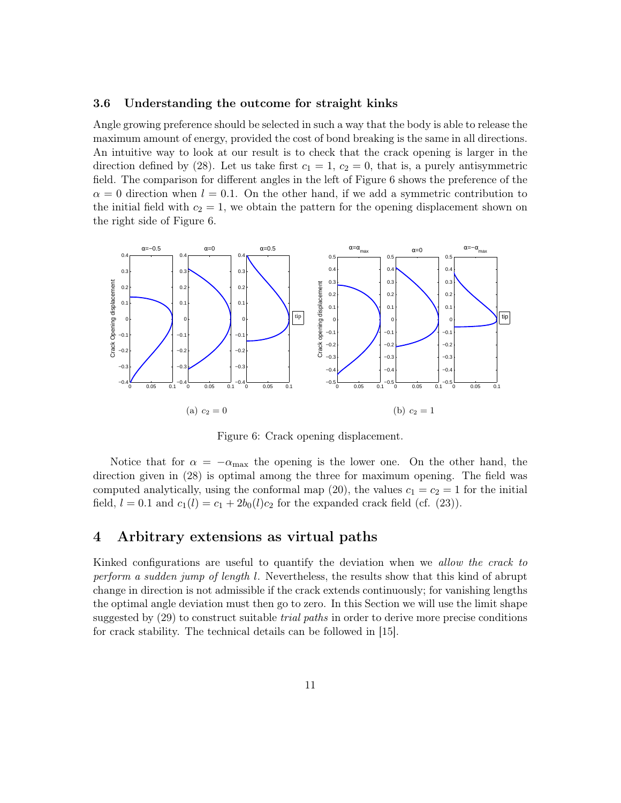#### 3.6 Understanding the outcome for straight kinks

Angle growing preference should be selected in such a way that the body is able to release the maximum amount of energy, provided the cost of bond breaking is the same in all directions. An intuitive way to look at our result is to check that the crack opening is larger in the direction defined by (28). Let us take first  $c_1 = 1, c_2 = 0$ , that is, a purely antisymmetric field. The comparison for different angles in the left of Figure 6 shows the preference of the  $\alpha = 0$  direction when  $l = 0.1$ . On the other hand, if we add a symmetric contribution to the initial field with  $c_2 = 1$ , we obtain the pattern for the opening displacement shown on the right side of Figure 6.



Figure 6: Crack opening displacement.

Notice that for  $\alpha = -\alpha_{\text{max}}$  the opening is the lower one. On the other hand, the direction given in (28) is optimal among the three for maximum opening. The field was computed analytically, using the conformal map (20), the values  $c_1 = c_2 = 1$  for the initial field,  $l = 0.1$  and  $c_1(l) = c_1 + 2b_0(l)c_2$  for the expanded crack field (cf. (23)).

### 4 Arbitrary extensions as virtual paths

Kinked configurations are useful to quantify the deviation when we allow the crack to perform a sudden jump of length l. Nevertheless, the results show that this kind of abrupt change in direction is not admissible if the crack extends continuously; for vanishing lengths the optimal angle deviation must then go to zero. In this Section we will use the limit shape suggested by (29) to construct suitable *trial paths* in order to derive more precise conditions for crack stability. The technical details can be followed in [15].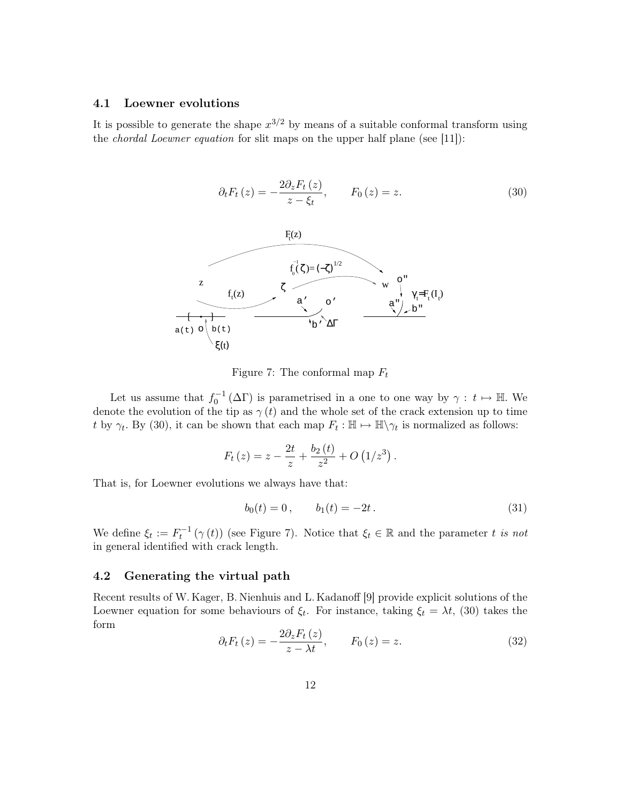### 4.1 Loewner evolutions

It is possible to generate the shape  $x^{3/2}$  by means of a suitable conformal transform using the chordal Loewner equation for slit maps on the upper half plane (see [11]):



Figure 7: The conformal map  $F_t$ 

Let us assume that  $f_0^{-1}(\Delta \Gamma)$  is parametrised in a one to one way by  $\gamma : t \mapsto \mathbb{H}$ . We denote the evolution of the tip as  $\gamma(t)$  and the whole set of the crack extension up to time t by  $\gamma_t$ . By (30), it can be shown that each map  $F_t : \mathbb{H} \to \mathbb{H} \setminus \gamma_t$  is normalized as follows:

$$
F_t(z) = z - \frac{2t}{z} + \frac{b_2(t)}{z^2} + O(1/z^3).
$$

That is, for Loewner evolutions we always have that:

$$
b_0(t) = 0, \t b_1(t) = -2t. \t (31)
$$

We define  $\xi_t := F_t^{-1}(\gamma(t))$  (see Figure 7). Notice that  $\xi_t \in \mathbb{R}$  and the parameter t is not in general identified with crack length.

### 4.2 Generating the virtual path

Recent results of W. Kager, B. Nienhuis and L. Kadanoff [9] provide explicit solutions of the Loewner equation for some behaviours of  $\xi_t$ . For instance, taking  $\xi_t = \lambda t$ , (30) takes the form

$$
\partial_t F_t(z) = -\frac{2\partial_z F_t(z)}{z - \lambda t}, \qquad F_0(z) = z. \tag{32}
$$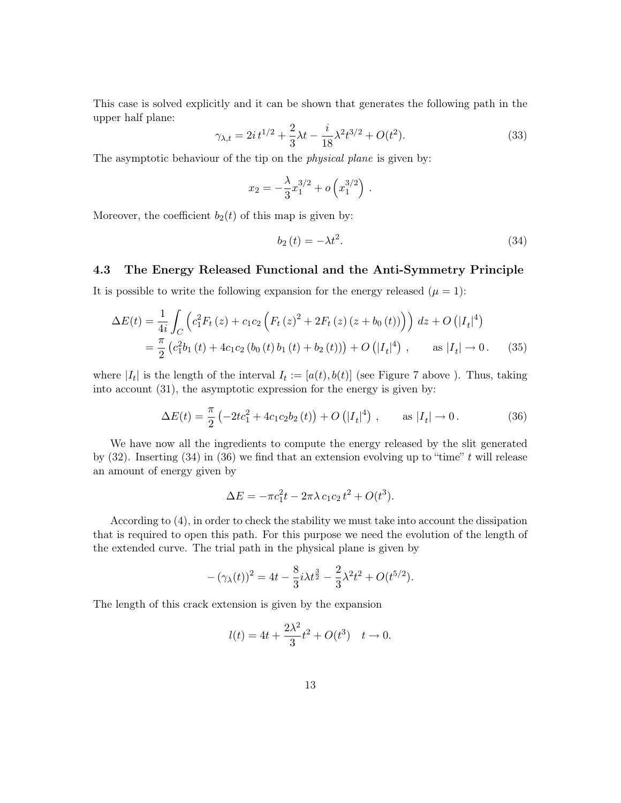This case is solved explicitly and it can be shown that generates the following path in the upper half plane:

$$
\gamma_{\lambda,t} = 2i t^{1/2} + \frac{2}{3} \lambda t - \frac{i}{18} \lambda^2 t^{3/2} + O(t^2). \tag{33}
$$

The asymptotic behaviour of the tip on the *physical plane* is given by:

$$
x_2 = -\frac{\lambda}{3}x_1^{3/2} + o\left(x_1^{3/2}\right).
$$

Moreover, the coefficient  $b_2(t)$  of this map is given by:

$$
b_2(t) = -\lambda t^2. \tag{34}
$$

#### 4.3 The Energy Released Functional and the Anti-Symmetry Principle

It is possible to write the following expansion for the energy released  $(\mu = 1)$ :

$$
\Delta E(t) = \frac{1}{4i} \int_C \left( c_1^2 F_t(z) + c_1 c_2 \left( F_t(z)^2 + 2F_t(z) \left( z + b_0(t) \right) \right) \right) dz + O\left( |I_t|^4 \right)
$$
  
=  $\frac{\pi}{2} \left( c_1^2 b_1(t) + 4c_1 c_2 \left( b_0(t) b_1(t) + b_2(t) \right) \right) + O\left( |I_t|^4 \right), \quad \text{as } |I_t| \to 0.$  (35)

where  $|I_t|$  is the length of the interval  $I_t := [a(t), b(t)]$  (see Figure 7 above ). Thus, taking into account (31), the asymptotic expression for the energy is given by:

$$
\Delta E(t) = \frac{\pi}{2} \left( -2tc_1^2 + 4c_1c_2b_2(t) \right) + O\left(|I_t|^4\right) , \qquad \text{as } |I_t| \to 0. \tag{36}
$$

We have now all the ingredients to compute the energy released by the slit generated by  $(32)$ . Inserting  $(34)$  in  $(36)$  we find that an extension evolving up to "time" t will release an amount of energy given by

$$
\Delta E = -\pi c_1^2 t - 2\pi \lambda c_1 c_2 t^2 + O(t^3).
$$

According to (4), in order to check the stability we must take into account the dissipation that is required to open this path. For this purpose we need the evolution of the length of the extended curve. The trial path in the physical plane is given by

$$
-(\gamma_{\lambda}(t))^{2} = 4t - \frac{8}{3}i\lambda t^{\frac{3}{2}} - \frac{2}{3}\lambda^{2} t^{2} + O(t^{5/2}).
$$

The length of this crack extension is given by the expansion

$$
l(t) = 4t + \frac{2\lambda^2}{3}t^2 + O(t^3) \quad t \to 0.
$$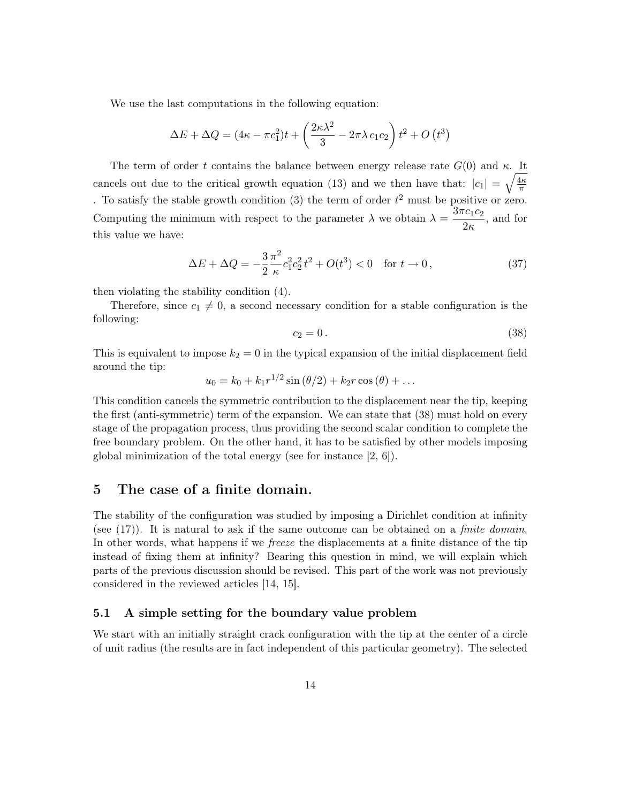We use the last computations in the following equation:

$$
\Delta E + \Delta Q = (4\kappa - \pi c_1^2)t + \left(\frac{2\kappa\lambda^2}{3} - 2\pi\lambda c_1 c_2\right)t^2 + O(t^3)
$$

The term of order t contains the balance between energy release rate  $G(0)$  and  $\kappa$ . It cancels out due to the critical growth equation (13) and we then have that:  $|c_1| = \sqrt{\frac{4\kappa}{\pi}}$ π . To satisfy the stable growth condition (3) the term of order  $t^2$  must be positive or zero. Computing the minimum with respect to the parameter  $\lambda$  we obtain  $\lambda = \frac{3\pi c_1 c_2}{2}$  $\frac{1}{2\kappa}$ , and for this value we have:

$$
\Delta E + \Delta Q = -\frac{3}{2} \frac{\pi^2}{\kappa} c_1^2 c_2^2 t^2 + O(t^3) < 0 \quad \text{for } t \to 0,
$$
\n(37)

then violating the stability condition (4).

Therefore, since  $c_1 \neq 0$ , a second necessary condition for a stable configuration is the following:

$$
c_2 = 0. \t\t(38)
$$

This is equivalent to impose  $k_2 = 0$  in the typical expansion of the initial displacement field around the tip:

$$
u_0 = k_0 + k_1 r^{1/2} \sin (\theta/2) + k_2 r \cos (\theta) + \dots
$$

This condition cancels the symmetric contribution to the displacement near the tip, keeping the first (anti-symmetric) term of the expansion. We can state that (38) must hold on every stage of the propagation process, thus providing the second scalar condition to complete the free boundary problem. On the other hand, it has to be satisfied by other models imposing global minimization of the total energy (see for instance [2, 6]).

### 5 The case of a finite domain.

The stability of the configuration was studied by imposing a Dirichlet condition at infinity (see (17)). It is natural to ask if the same outcome can be obtained on a finite domain. In other words, what happens if we freeze the displacements at a finite distance of the tip instead of fixing them at infinity? Bearing this question in mind, we will explain which parts of the previous discussion should be revised. This part of the work was not previously considered in the reviewed articles [14, 15].

### 5.1 A simple setting for the boundary value problem

We start with an initially straight crack configuration with the tip at the center of a circle of unit radius (the results are in fact independent of this particular geometry). The selected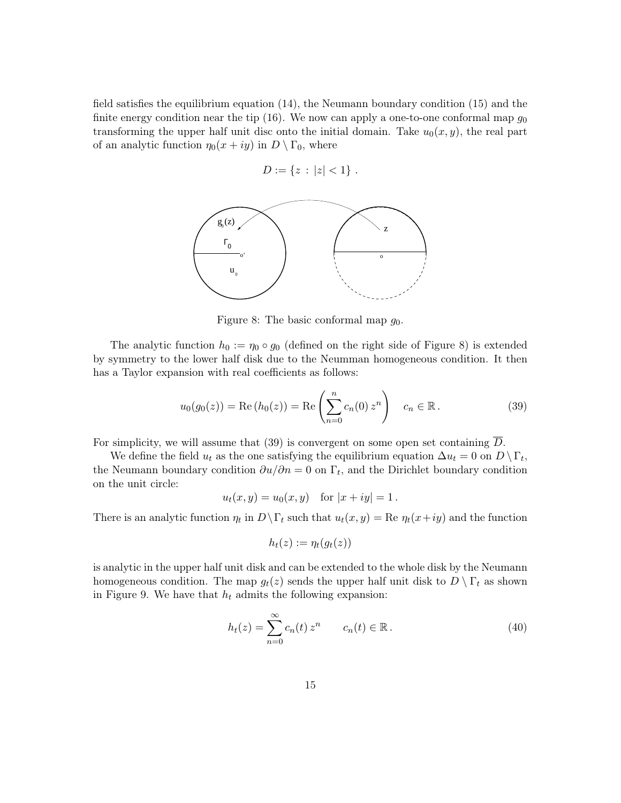field satisfies the equilibrium equation (14), the Neumann boundary condition (15) and the finite energy condition near the tip (16). We now can apply a one-to-one conformal map  $q_0$ transforming the upper half unit disc onto the initial domain. Take  $u_0(x, y)$ , the real part of an analytic function  $\eta_0(x+iy)$  in  $D \setminus \Gamma_0$ , where

$$
D := \{ z : |z| < 1 \} \; .
$$



Figure 8: The basic conformal map  $q_0$ .

The analytic function  $h_0 := \eta_0 \circ g_0$  (defined on the right side of Figure 8) is extended by symmetry to the lower half disk due to the Neumman homogeneous condition. It then has a Taylor expansion with real coefficients as follows:

$$
u_0(g_0(z)) = \text{Re}(h_0(z)) = \text{Re}\left(\sum_{n=0}^n c_n(0) z^n\right) \quad c_n \in \mathbb{R}.
$$
 (39)

For simplicity, we will assume that (39) is convergent on some open set containing D.

We define the field  $u_t$  as the one satisfying the equilibrium equation  $\Delta u_t = 0$  on  $D \setminus \Gamma_t$ , the Neumann boundary condition  $\partial u/\partial n = 0$  on  $\Gamma_t$ , and the Dirichlet boundary condition on the unit circle:

$$
u_t(x, y) = u_0(x, y)
$$
 for  $|x + iy| = 1$ .

There is an analytic function  $\eta_t$  in  $D \backslash \Gamma_t$  such that  $u_t(x, y) = \text{Re }\eta_t(x+iy)$  and the function

$$
h_t(z) := \eta_t(g_t(z))
$$

is analytic in the upper half unit disk and can be extended to the whole disk by the Neumann homogeneous condition. The map  $g_t(z)$  sends the upper half unit disk to  $D \setminus \Gamma_t$  as shown in Figure 9. We have that  $h_t$  admits the following expansion:

$$
h_t(z) = \sum_{n=0}^{\infty} c_n(t) z^n \qquad c_n(t) \in \mathbb{R} \,.
$$
 (40)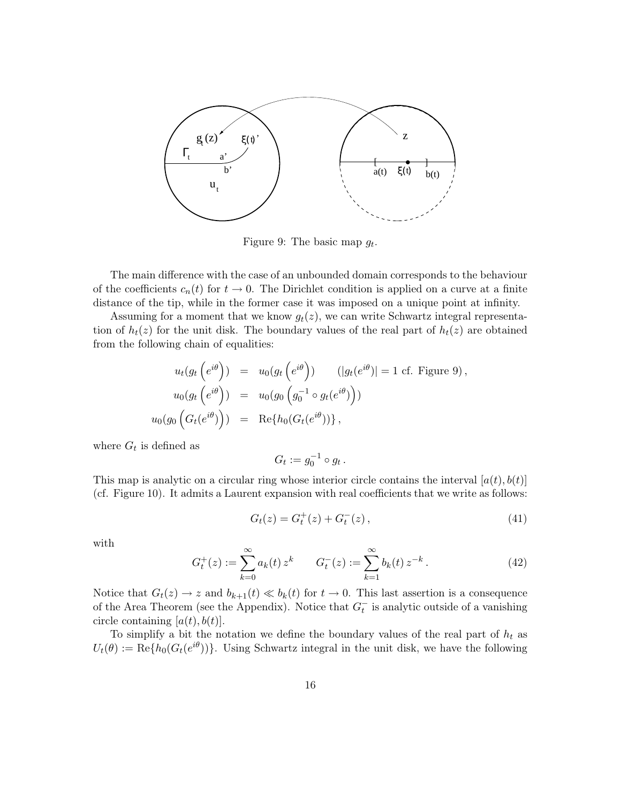

Figure 9: The basic map  $g_t$ .

The main difference with the case of an unbounded domain corresponds to the behaviour of the coefficients  $c_n(t)$  for  $t \to 0$ . The Dirichlet condition is applied on a curve at a finite distance of the tip, while in the former case it was imposed on a unique point at infinity.

Assuming for a moment that we know  $g_t(z)$ , we can write Schwartz integral representation of  $h_t(z)$  for the unit disk. The boundary values of the real part of  $h_t(z)$  are obtained from the following chain of equalities:

$$
u_t(g_t\left(e^{i\theta}\right)) = u_0(g_t\left(e^{i\theta}\right)) \qquad (|g_t(e^{i\theta})| = 1 \text{ cf. Figure 9}),
$$
  
\n
$$
u_0(g_t\left(e^{i\theta}\right)) = u_0(g_0\left(g_0^{-1} \circ g_t(e^{i\theta})\right))
$$
  
\n
$$
u_0(g_0\left(G_t(e^{i\theta})\right)) = \text{Re}\{h_0(G_t(e^{i\theta}))\},
$$

where  $G_t$  is defined as

$$
G_t := g_0^{-1} \circ g_t.
$$

This map is analytic on a circular ring whose interior circle contains the interval  $[a(t), b(t)]$ (cf. Figure 10). It admits a Laurent expansion with real coefficients that we write as follows:

$$
G_t(z) = G_t^+(z) + G_t^-(z), \qquad (41)
$$

with

$$
G_t^+(z) := \sum_{k=0}^{\infty} a_k(t) z^k \qquad G_t^-(z) := \sum_{k=1}^{\infty} b_k(t) z^{-k} . \tag{42}
$$

Notice that  $G_t(z) \to z$  and  $b_{k+1}(t) \ll b_k(t)$  for  $t \to 0$ . This last assertion is a consequence of the Area Theorem (see the Appendix). Notice that  $G_t^-$  is analytic outside of a vanishing circle containing  $[a(t), b(t)].$ 

To simplify a bit the notation we define the boundary values of the real part of  $h_t$  as  $U_t(\theta) := \text{Re}\{h_0(G_t(e^{i\theta}))\}$ . Using Schwartz integral in the unit disk, we have the following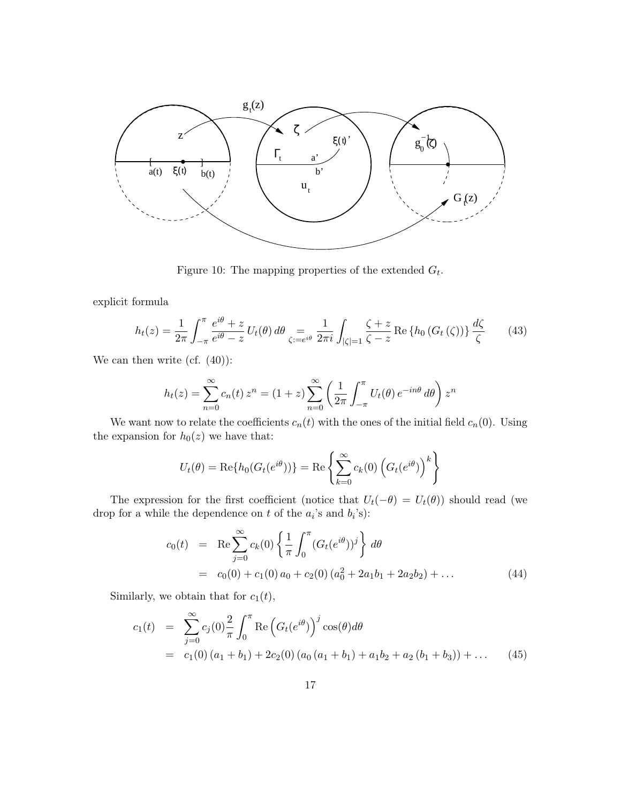

Figure 10: The mapping properties of the extended  $G_t$ .

explicit formula

$$
h_t(z) = \frac{1}{2\pi} \int_{-\pi}^{\pi} \frac{e^{i\theta} + z}{e^{i\theta} - z} U_t(\theta) d\theta \underset{\zeta := e^{i\theta}}{=} \frac{1}{2\pi i} \int_{|\zeta| = 1} \frac{\zeta + z}{\zeta - z} \operatorname{Re} \left\{ h_0 \left( G_t \left( \zeta \right) \right) \right\} \frac{d\zeta}{\zeta} \tag{43}
$$

We can then write (cf.  $(40)$ ):

$$
h_t(z) = \sum_{n=0}^{\infty} c_n(t) z^n = (1+z) \sum_{n=0}^{\infty} \left( \frac{1}{2\pi} \int_{-\pi}^{\pi} U_t(\theta) e^{-in\theta} d\theta \right) z^n
$$

We want now to relate the coefficients  $c_n(t)$  with the ones of the initial field  $c_n(0)$ . Using the expansion for  $h_0(z)$  we have that:

$$
U_t(\theta) = \text{Re}\{h_0(G_t(e^{i\theta}))\} = \text{Re}\left\{\sum_{k=0}^{\infty} c_k(0) \left(G_t(e^{i\theta})\right)^k\right\}
$$

The expression for the first coefficient (notice that  $U_t(-\theta) = U_t(\theta)$ ) should read (we drop for a while the dependence on t of the  $a_i$ 's and  $b_i$ 's):

$$
c_0(t) = \text{Re} \sum_{j=0}^{\infty} c_k(0) \left\{ \frac{1}{\pi} \int_0^{\pi} (G_t(e^{i\theta}))^j \right\} d\theta
$$
  
=  $c_0(0) + c_1(0) a_0 + c_2(0) (a_0^2 + 2a_1b_1 + 2a_2b_2) + ...$  (44)

Similarly, we obtain that for  $c_1(t)$ ,

$$
c_1(t) = \sum_{j=0}^{\infty} c_j(0) \frac{2}{\pi} \int_0^{\pi} \text{Re} \left( G_t(e^{i\theta}) \right)^j \cos(\theta) d\theta
$$
  
=  $c_1(0) (a_1 + b_1) + 2c_2(0) (a_0 (a_1 + b_1) + a_1 b_2 + a_2 (b_1 + b_3)) + \dots$  (45)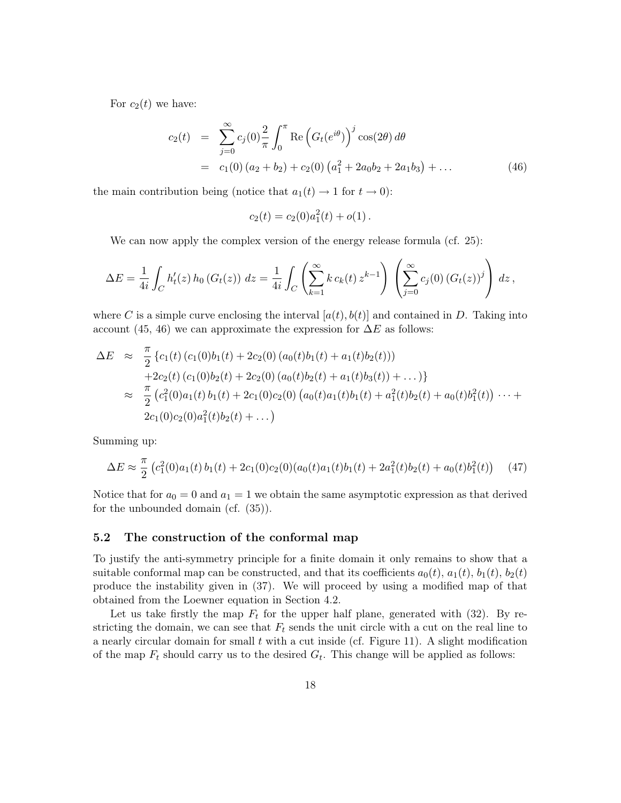For  $c_2(t)$  we have:

$$
c_2(t) = \sum_{j=0}^{\infty} c_j(0) \frac{2}{\pi} \int_0^{\pi} \text{Re} \left( G_t(e^{i\theta}) \right)^j \cos(2\theta) d\theta
$$
  
=  $c_1(0) (a_2 + b_2) + c_2(0) (a_1^2 + 2a_0b_2 + 2a_1b_3) + ...$  (46)

the main contribution being (notice that  $a_1(t) \rightarrow 1$  for  $t \rightarrow 0$ ):

$$
c_2(t) = c_2(0)a_1^2(t) + o(1).
$$

We can now apply the complex version of the energy release formula (cf. 25):

$$
\Delta E = \frac{1}{4i} \int_C h'_t(z) h_0(G_t(z)) dz = \frac{1}{4i} \int_C \left( \sum_{k=1}^{\infty} k c_k(t) z^{k-1} \right) \left( \sum_{j=0}^{\infty} c_j(0) (G_t(z))^j \right) dz,
$$

where C is a simple curve enclosing the interval  $[a(t), b(t)]$  and contained in D. Taking into account (45, 46) we can approximate the expression for  $\Delta E$  as follows:

$$
\Delta E \approx \frac{\pi}{2} \left\{ c_1(t) \left( c_1(0)b_1(t) + 2c_2(0) \left( a_0(t)b_1(t) + a_1(t)b_2(t) \right) \right) \right. \\ \left. + 2c_2(t) \left( c_1(0)b_2(t) + 2c_2(0) \left( a_0(t)b_2(t) + a_1(t)b_3(t) \right) + \dots \right) \right\} \\ \approx \frac{\pi}{2} \left( c_1^2(0)a_1(t)b_1(t) + 2c_1(0)c_2(0) \left( a_0(t)a_1(t)b_1(t) + a_1^2(t)b_2(t) + a_0(t)b_1^2(t) \right) \dots + 2c_1(0)c_2(0)a_1^2(t)b_2(t) + \dots \right)
$$

Summing up:

$$
\Delta E \approx \frac{\pi}{2} \left( c_1^2(0) a_1(t) b_1(t) + 2c_1(0) c_2(0) (a_0(t) a_1(t) b_1(t) + 2a_1^2(t) b_2(t) + a_0(t) b_1^2(t) \right) \tag{47}
$$

Notice that for  $a_0 = 0$  and  $a_1 = 1$  we obtain the same asymptotic expression as that derived for the unbounded domain (cf. (35)).

### 5.2 The construction of the conformal map

To justify the anti-symmetry principle for a finite domain it only remains to show that a suitable conformal map can be constructed, and that its coefficients  $a_0(t)$ ,  $a_1(t)$ ,  $b_1(t)$ ,  $b_2(t)$ produce the instability given in (37). We will proceed by using a modified map of that obtained from the Loewner equation in Section 4.2.

Let us take firstly the map  $F_t$  for the upper half plane, generated with (32). By restricting the domain, we can see that  $F_t$  sends the unit circle with a cut on the real line to a nearly circular domain for small  $t$  with a cut inside (cf. Figure 11). A slight modification of the map  $F_t$  should carry us to the desired  $G_t$ . This change will be applied as follows: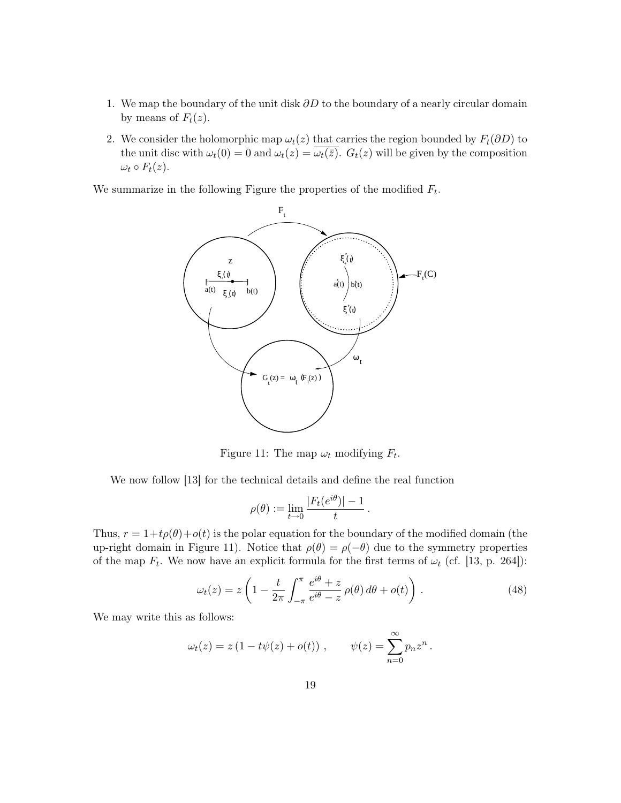- 1. We map the boundary of the unit disk  $\partial D$  to the boundary of a nearly circular domain by means of  $F_t(z)$ .
- 2. We consider the holomorphic map  $\omega_t(z)$  that carries the region bounded by  $F_t(\partial D)$  to the unit disc with  $\omega_t(0) = 0$  and  $\omega_t(z) = \overline{\omega_t(\overline{z})}$ .  $G_t(z)$  will be given by the composition  $\omega_t \circ F_t(z)$ .

We summarize in the following Figure the properties of the modified  $F_t$ .



Figure 11: The map  $\omega_t$  modifying  $F_t$ .

We now follow [13] for the technical details and define the real function

$$
\rho(\theta) := \lim_{t \to 0} \frac{|F_t(e^{i\theta})| - 1}{t}.
$$

Thus,  $r = 1+t\rho(\theta)+o(t)$  is the polar equation for the boundary of the modified domain (the up-right domain in Figure 11). Notice that  $\rho(\theta) = \rho(-\theta)$  due to the symmetry properties of the map  $F_t$ . We now have an explicit formula for the first terms of  $\omega_t$  (cf. [13, p. 264]):

$$
\omega_t(z) = z \left( 1 - \frac{t}{2\pi} \int_{-\pi}^{\pi} \frac{e^{i\theta} + z}{e^{i\theta} - z} \rho(\theta) d\theta + o(t) \right). \tag{48}
$$

We may write this as follows:

$$
\omega_t(z) = z (1 - t\psi(z) + o(t)), \qquad \psi(z) = \sum_{n=0}^{\infty} p_n z^n.
$$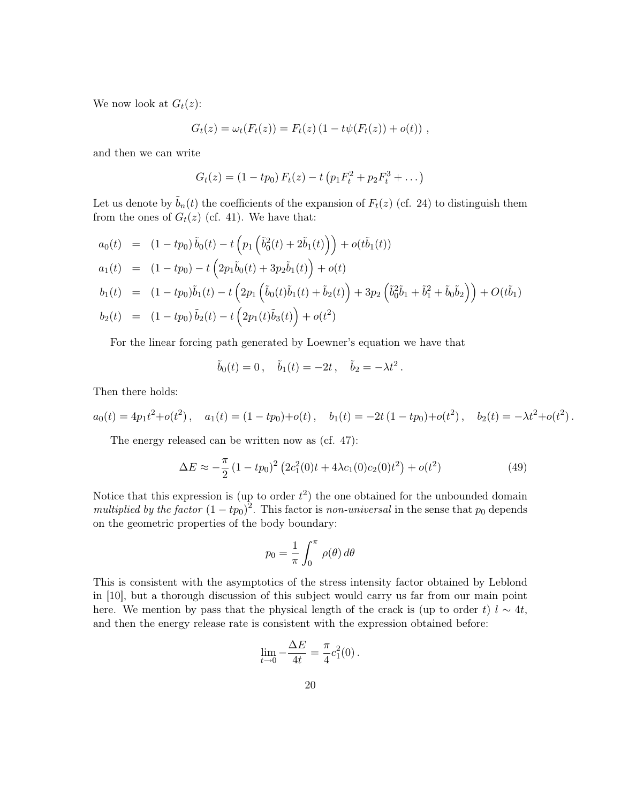We now look at  $G_t(z)$ :

$$
G_t(z) = \omega_t(F_t(z)) = F_t(z) (1 - t\psi(F_t(z)) + o(t)),
$$

and then we can write

$$
G_t(z) = (1 - tp_0) F_t(z) - t (p_1 F_t^2 + p_2 F_t^3 + \dots)
$$

Let us denote by  $\tilde{b}_n(t)$  the coefficients of the expansion of  $F_t(z)$  (cf. 24) to distinguish them from the ones of  $G_t(z)$  (cf. 41). We have that:

$$
a_0(t) = (1 - tp_0) \tilde{b}_0(t) - t \left( p_1 \left( \tilde{b}_0^2(t) + 2\tilde{b}_1(t) \right) \right) + o(t\tilde{b}_1(t))
$$
  
\n
$$
a_1(t) = (1 - tp_0) - t \left( 2p_1\tilde{b}_0(t) + 3p_2\tilde{b}_1(t) \right) + o(t)
$$
  
\n
$$
b_1(t) = (1 - tp_0)\tilde{b}_1(t) - t \left( 2p_1 \left( \tilde{b}_0(t)\tilde{b}_1(t) + \tilde{b}_2(t) \right) + 3p_2 \left( \tilde{b}_0^2\tilde{b}_1 + \tilde{b}_1^2 + \tilde{b}_0\tilde{b}_2 \right) \right) + O(t\tilde{b}_1)
$$
  
\n
$$
b_2(t) = (1 - tp_0) \tilde{b}_2(t) - t \left( 2p_1(t)\tilde{b}_3(t) \right) + o(t^2)
$$

For the linear forcing path generated by Loewner's equation we have that

$$
\tilde{b}_0(t) = 0
$$
,  $\tilde{b}_1(t) = -2t$ ,  $\tilde{b}_2 = -\lambda t^2$ .

Then there holds:

$$
a_0(t) = 4p_1t^2 + o(t^2), \quad a_1(t) = (1 - tp_0) + o(t), \quad b_1(t) = -2t(1 - tp_0) + o(t^2), \quad b_2(t) = -\lambda t^2 + o(t^2).
$$

The energy released can be written now as (cf. 47):

$$
\Delta E \approx -\frac{\pi}{2} \left( 1 - tp_0 \right)^2 \left( 2c_1^2(0)t + 4\lambda c_1(0)c_2(0)t^2 \right) + o(t^2)
$$
\n(49)

Notice that this expression is (up to order  $t^2$ ) the one obtained for the unbounded domain multiplied by the factor  $(1 - tp_0)^2$ . This factor is non-universal in the sense that  $p_0$  depends on the geometric properties of the body boundary:

$$
p_0 = \frac{1}{\pi} \int_0^{\pi} \rho(\theta) d\theta
$$

This is consistent with the asymptotics of the stress intensity factor obtained by Leblond in [10], but a thorough discussion of this subject would carry us far from our main point here. We mention by pass that the physical length of the crack is (up to order t)  $l \sim 4t$ , and then the energy release rate is consistent with the expression obtained before:

$$
\lim_{t \to 0} -\frac{\Delta E}{4t} = \frac{\pi}{4}c_1^2(0).
$$

∆E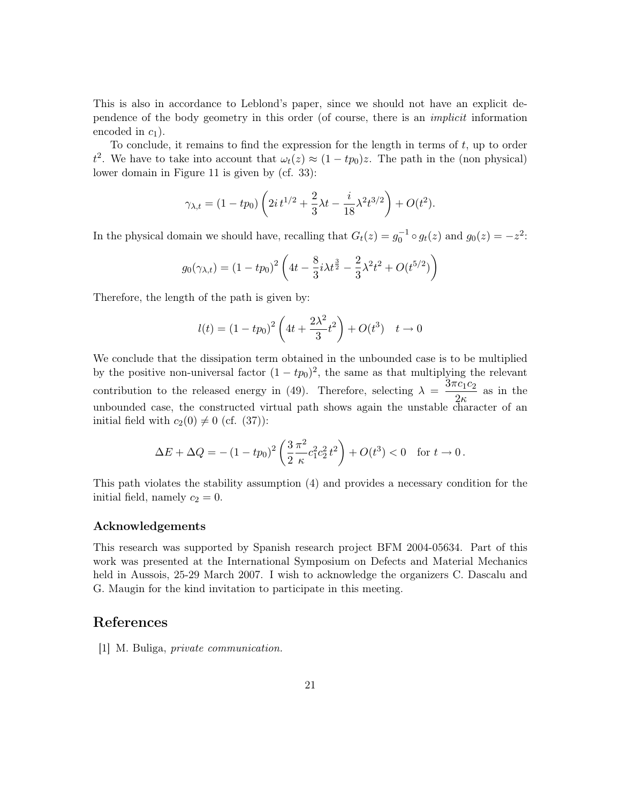This is also in accordance to Leblond's paper, since we should not have an explicit dependence of the body geometry in this order (of course, there is an implicit information encoded in  $c_1$ ).

To conclude, it remains to find the expression for the length in terms of  $t$ , up to order t<sup>2</sup>. We have to take into account that  $\omega_t(z) \approx (1 - tp_0)z$ . The path in the (non physical) lower domain in Figure 11 is given by (cf. 33):

$$
\gamma_{\lambda,t} = (1 - tp_0) \left( 2i t^{1/2} + \frac{2}{3} \lambda t - \frac{i}{18} \lambda^2 t^{3/2} \right) + O(t^2).
$$

In the physical domain we should have, recalling that  $G_t(z) = g_0^{-1} \circ g_t(z)$  and  $g_0(z) = -z^2$ .

$$
g_0(\gamma_{\lambda,t}) = (1 - tp_0)^2 \left( 4t - \frac{8}{3}i\lambda t^{\frac{3}{2}} - \frac{2}{3}\lambda^2 t^2 + O(t^{5/2}) \right)
$$

Therefore, the length of the path is given by:

$$
l(t) = (1 - tp_0)^2 \left( 4t + \frac{2\lambda^2}{3} t^2 \right) + O(t^3) \quad t \to 0
$$

We conclude that the dissipation term obtained in the unbounded case is to be multiplied by the positive non-universal factor  $(1 - tp_0)^2$ , the same as that multiplying the relevant contribution to the released energy in (49). Therefore, selecting  $\lambda = \frac{3\pi c_1 c_2}{2}$  $\frac{16162}{26}$  as in the unbounded case, the constructed virtual path shows again the unstable character of an initial field with  $c_2(0) \neq 0$  (cf. (37)):

$$
\Delta E + \Delta Q = -(1 - tp_0)^2 \left(\frac{3}{2} \frac{\pi^2}{\kappa} c_1^2 c_2^2 t^2\right) + O(t^3) < 0 \text{ for } t \to 0.
$$

This path violates the stability assumption (4) and provides a necessary condition for the initial field, namely  $c_2 = 0$ .

### Acknowledgements

This research was supported by Spanish research project BFM 2004-05634. Part of this work was presented at the International Symposium on Defects and Material Mechanics held in Aussois, 25-29 March 2007. I wish to acknowledge the organizers C. Dascalu and G. Maugin for the kind invitation to participate in this meeting.

### References

[1] M. Buliga, private communication.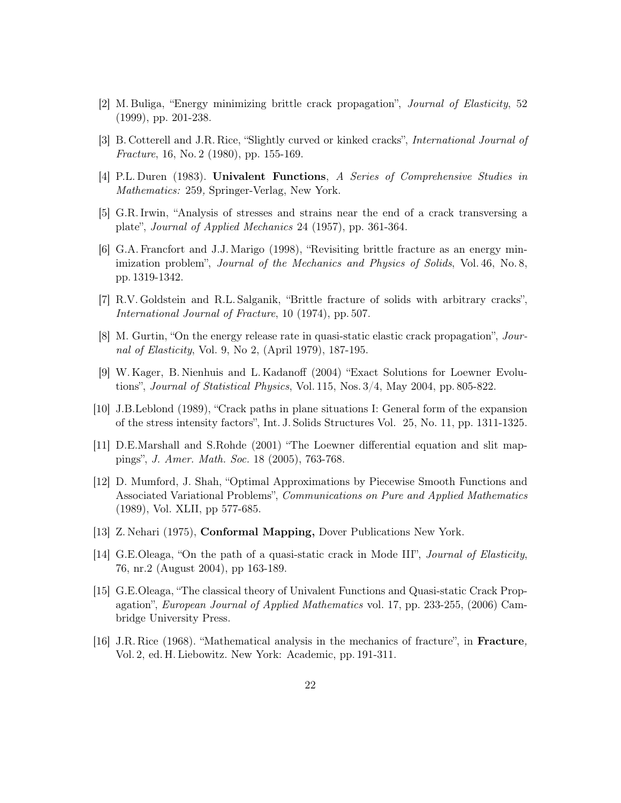- [2] M. Buliga, "Energy minimizing brittle crack propagation", Journal of Elasticity, 52 (1999), pp. 201-238.
- [3] B. Cotterell and J.R. Rice, "Slightly curved or kinked cracks", International Journal of Fracture, 16, No. 2 (1980), pp. 155-169.
- [4] P.L. Duren (1983). Univalent Functions, A Series of Comprehensive Studies in Mathematics: 259, Springer-Verlag, New York.
- [5] G.R. Irwin, "Analysis of stresses and strains near the end of a crack transversing a plate", Journal of Applied Mechanics 24 (1957), pp. 361-364.
- [6] G.A. Francfort and J.J. Marigo (1998), "Revisiting brittle fracture as an energy minimization problem", Journal of the Mechanics and Physics of Solids, Vol. 46, No. 8, pp. 1319-1342.
- [7] R.V. Goldstein and R.L. Salganik, "Brittle fracture of solids with arbitrary cracks", International Journal of Fracture, 10 (1974), pp. 507.
- [8] M. Gurtin, "On the energy release rate in quasi-static elastic crack propagation", Journal of Elasticity, Vol. 9, No 2, (April 1979), 187-195.
- [9] W. Kager, B. Nienhuis and L. Kadanoff (2004) "Exact Solutions for Loewner Evolutions", Journal of Statistical Physics, Vol. 115, Nos. 3/4, May 2004, pp. 805-822.
- [10] J.B.Leblond (1989), "Crack paths in plane situations I: General form of the expansion of the stress intensity factors", Int. J. Solids Structures Vol. 25, No. 11, pp. 1311-1325.
- [11] D.E.Marshall and S.Rohde (2001) "The Loewner differential equation and slit mappings", J. Amer. Math. Soc. 18 (2005), 763-768.
- [12] D. Mumford, J. Shah, "Optimal Approximations by Piecewise Smooth Functions and Associated Variational Problems", Communications on Pure and Applied Mathematics (1989), Vol. XLII, pp 577-685.
- [13] Z. Nehari (1975), Conformal Mapping, Dover Publications New York.
- [14] G.E.Oleaga, "On the path of a quasi-static crack in Mode III", Journal of Elasticity, 76, nr.2 (August 2004), pp 163-189.
- [15] G.E.Oleaga, "The classical theory of Univalent Functions and Quasi-static Crack Propagation", European Journal of Applied Mathematics vol. 17, pp. 233-255, (2006) Cambridge University Press.
- [16] J.R. Rice (1968). "Mathematical analysis in the mechanics of fracture", in Fracture, Vol. 2, ed. H. Liebowitz. New York: Academic, pp. 191-311.